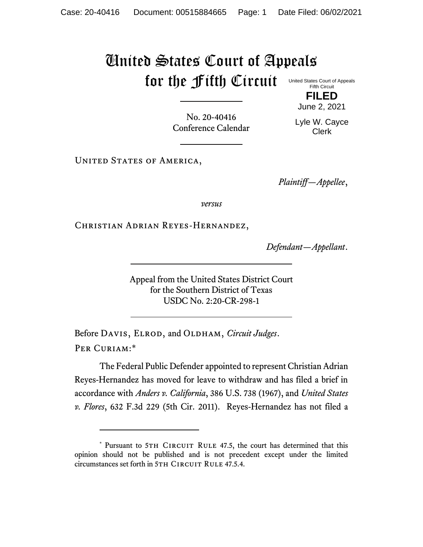## United States Court of Appeals for the Fifth Circuit

United States Court of Appeals Fifth Circuit **FILED**

June 2, 2021

No. 20-40416 Conference Calendar

Lyle W. Cayce Clerk

UNITED STATES OF AMERICA,

*Plaintiff—Appellee*,

*versus*

Christian Adrian Reyes-Hernandez,

*Defendant—Appellant*.

Appeal from the United States District Court for the Southern District of Texas USDC No. 2:20-CR-298-1

Before DAVIS, ELROD, and OLDHAM, *Circuit Judges*. Per Curiam:\*

The Federal Public Defender appointed to represent Christian Adrian Reyes-Hernandez has moved for leave to withdraw and has filed a brief in accordance with *Anders v. California*, 386 U.S. 738 (1967), and *United States v. Flores*, 632 F.3d 229 (5th Cir. 2011). Reyes-Hernandez has not filed a

<sup>\*</sup> Pursuant to 5TH CIRCUIT RULE 47.5, the court has determined that this opinion should not be published and is not precedent except under the limited circumstances set forth in 5TH CIRCUIT RULE 47.5.4.